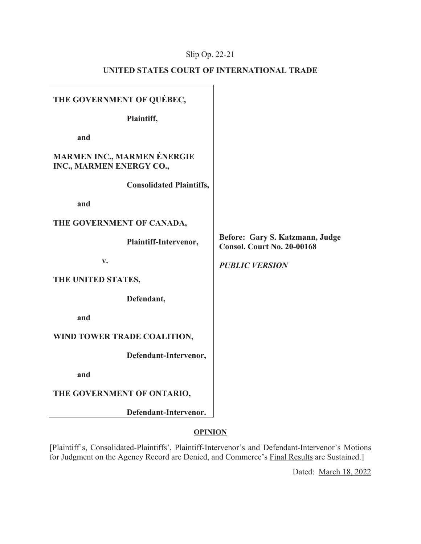# Slip Op. 22-21

# **UNITED STATES COURT OF INTERNATIONAL TRADE**

| THE GOVERNMENT OF QUÉBEC,                                      |                                                                      |
|----------------------------------------------------------------|----------------------------------------------------------------------|
| Plaintiff,                                                     |                                                                      |
| and                                                            |                                                                      |
| <b>MARMEN INC., MARMEN ÉNERGIE</b><br>INC., MARMEN ENERGY CO., |                                                                      |
| <b>Consolidated Plaintiffs,</b>                                |                                                                      |
| and                                                            |                                                                      |
| THE GOVERNMENT OF CANADA,                                      |                                                                      |
| Plaintiff-Intervenor,                                          | Before: Gary S. Katzmann, Judge<br><b>Consol. Court No. 20-00168</b> |
| $V_{\bullet}$                                                  | <b>PUBLIC VERSION</b>                                                |
| THE UNITED STATES,                                             |                                                                      |
| Defendant,                                                     |                                                                      |
| and                                                            |                                                                      |
| WIND TOWER TRADE COALITION,                                    |                                                                      |
| Defendant-Intervenor,                                          |                                                                      |
| and                                                            |                                                                      |
| THE GOVERNMENT OF ONTARIO,                                     |                                                                      |
|                                                                |                                                                      |

# **OPINION**

[Plaintiff's, Consolidated-Plaintiffs', Plaintiff-Intervenor's and Defendant-Intervenor's Motions for Judgment on the Agency Record are Denied, and Commerce's Final Results are Sustained.]

Dated: March 18, 2022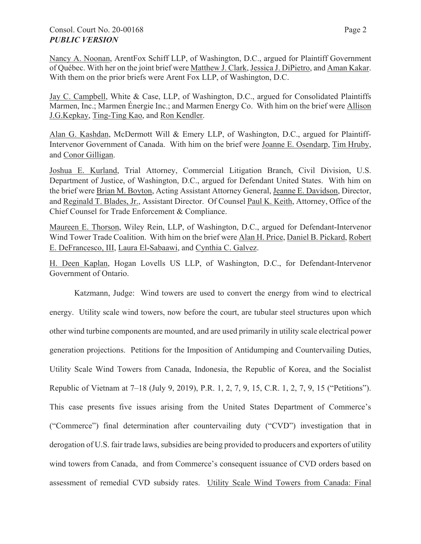# Consol. Court No. 20-00168 Page 2 *PUBLIC VERSION*

Jay C. Campbell, White & Case, LLP, of Washington, D.C., argued for Consolidated Plaintiffs Marmen, Inc.; Marmen Énergie Inc.; and Marmen Energy Co. With him on the brief were Allison J.G.Kepkay, Ting-Ting Kao, and Ron Kendler.

Alan G. Kashdan, McDermott Will & Emery LLP, of Washington, D.C., argued for Plaintiff-Intervenor Government of Canada. With him on the brief were Joanne E. Osendarp, Tim Hruby, and Conor Gilligan.

Joshua E. Kurland, Trial Attorney, Commercial Litigation Branch, Civil Division, U.S. Department of Justice, of Washington, D.C., argued for Defendant United States. With him on the brief were Brian M. Boyton, Acting Assistant Attorney General, Jeanne E. Davidson, Director, and Reginald T. Blades, Jr., Assistant Director. Of Counsel Paul K. Keith, Attorney, Office of the Chief Counsel for Trade Enforcement & Compliance.

Maureen E. Thorson, Wiley Rein, LLP, of Washington, D.C., argued for Defendant-Intervenor Wind Tower Trade Coalition. With him on the brief were Alan H. Price, Daniel B. Pickard, Robert E. DeFrancesco, III, Laura El-Sabaawi, and Cynthia C. Galvez.

H. Deen Kaplan, Hogan Lovells US LLP, of Washington, D.C., for Defendant-Intervenor Government of Ontario.

Katzmann, Judge: Wind towers are used to convert the energy from wind to electrical energy. Utility scale wind towers, now before the court, are tubular steel structures upon which other wind turbine components are mounted, and are used primarily in utility scale electrical power generation projections. Petitions for the Imposition of Antidumping and Countervailing Duties, Utility Scale Wind Towers from Canada, Indonesia, the Republic of Korea, and the Socialist Republic of Vietnam at 7–18 (July 9, 2019), P.R. 1, 2, 7, 9, 15, C.R. 1, 2, 7, 9, 15 ("Petitions"). This case presents five issues arising from the United States Department of Commerce's ("Commerce") final determination after countervailing duty ("CVD") investigation that in derogation of U.S. fair trade laws, subsidies are being provided to producers and exporters of utility wind towers from Canada, and from Commerce's consequent issuance of CVD orders based on assessment of remedial CVD subsidy rates. Utility Scale Wind Towers from Canada: Final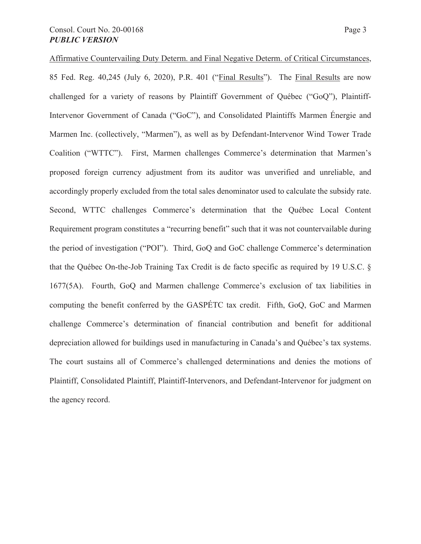Affirmative Countervailing Duty Determ. and Final Negative Determ. of Critical Circumstances, 85 Fed. Reg. 40,245 (July 6, 2020), P.R. 401 ("Final Results"). The Final Results are now challenged for a variety of reasons by Plaintiff Government of Québec ("GoQ"), Plaintiff-Intervenor Government of Canada ("GoC"), and Consolidated Plaintiffs Marmen Énergie and Marmen Inc. (collectively, "Marmen"), as well as by Defendant-Intervenor Wind Tower Trade Coalition ("WTTC"). First, Marmen challenges Commerce's determination that Marmen's proposed foreign currency adjustment from its auditor was unverified and unreliable, and accordingly properly excluded from the total sales denominator used to calculate the subsidy rate. Second, WTTC challenges Commerce's determination that the Québec Local Content Requirement program constitutes a "recurring benefit" such that it was not countervailable during the period of investigation ("POI"). Third, GoQ and GoC challenge Commerce's determination that the Québec On-the-Job Training Tax Credit is de facto specific as required by 19 U.S.C. § 1677(5A). Fourth, GoQ and Marmen challenge Commerce's exclusion of tax liabilities in computing the benefit conferred by the GASPÉTC tax credit. Fifth, GoQ, GoC and Marmen challenge Commerce's determination of financial contribution and benefit for additional depreciation allowed for buildings used in manufacturing in Canada's and Québec's tax systems. The court sustains all of Commerce's challenged determinations and denies the motions of Plaintiff, Consolidated Plaintiff, Plaintiff-Intervenors, and Defendant-Intervenor for judgment on the agency record.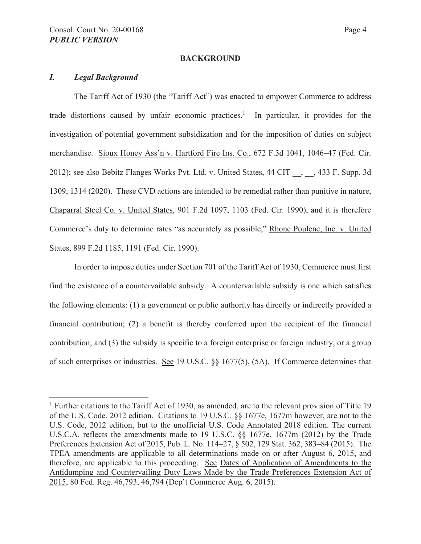#### **BACKGROUND**

### *I. Legal Background*

The Tariff Act of 1930 (the "Tariff Act") was enacted to empower Commerce to address trade distortions caused by unfair economic practices.<sup>1</sup> In particular, it provides for the investigation of potential government subsidization and for the imposition of duties on subject merchandise. Sioux Honey Ass'n v. Hartford Fire Ins. Co., 672 F.3d 1041, 1046–47 (Fed. Cir. 2012); see also Bebitz Flanges Works Pvt. Ltd. v. United States, 44 CIT , 433 F. Supp. 3d 1309, 1314 (2020). These CVD actions are intended to be remedial rather than punitive in nature, Chaparral Steel Co. v. United States, 901 F.2d 1097, 1103 (Fed. Cir. 1990), and it is therefore Commerce's duty to determine rates "as accurately as possible," Rhone Poulenc, Inc. v. United States, 899 F.2d 1185, 1191 (Fed. Cir. 1990).

In order to impose duties under Section 701 of the Tariff Act of 1930, Commerce must first find the existence of a countervailable subsidy. A countervailable subsidy is one which satisfies the following elements: (1) a government or public authority has directly or indirectly provided a financial contribution; (2) a benefit is thereby conferred upon the recipient of the financial contribution; and (3) the subsidy is specific to a foreign enterprise or foreign industry, or a group of such enterprises or industries. See 19 U.S.C. §§ 1677(5), (5A). If Commerce determines that

<sup>&</sup>lt;sup>1</sup> Further citations to the Tariff Act of 1930, as amended, are to the relevant provision of Title 19 of the U.S. Code, 2012 edition. Citations to 19 U.S.C. §§ 1677e, 1677m however, are not to the U.S. Code, 2012 edition, but to the unofficial U.S. Code Annotated 2018 edition. The current U.S.C.A. reflects the amendments made to 19 U.S.C. §§ 1677e, 1677m (2012) by the Trade Preferences Extension Act of 2015, Pub. L. No. 114–27, § 502, 129 Stat. 362, 383–84 (2015). The TPEA amendments are applicable to all determinations made on or after August 6, 2015, and therefore, are applicable to this proceeding. See Dates of Application of Amendments to the Antidumping and Countervailing Duty Laws Made by the Trade Preferences Extension Act of 2015, 80 Fed. Reg. 46,793, 46,794 (Dep't Commerce Aug. 6, 2015).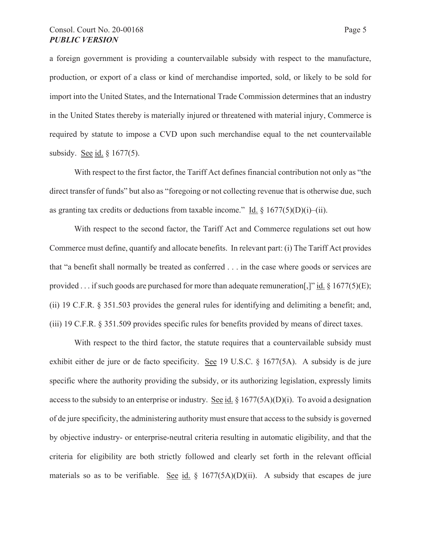a foreign government is providing a countervailable subsidy with respect to the manufacture, production, or export of a class or kind of merchandise imported, sold, or likely to be sold for import into the United States, and the International Trade Commission determines that an industry in the United States thereby is materially injured or threatened with material injury, Commerce is required by statute to impose a CVD upon such merchandise equal to the net countervailable subsidy. See id. § 1677(5).

With respect to the first factor, the Tariff Act defines financial contribution not only as "the direct transfer of funds" but also as "foregoing or not collecting revenue that is otherwise due, such as granting tax credits or deductions from taxable income." Id.  $\S$  1677(5)(D)(i)–(ii).

With respect to the second factor, the Tariff Act and Commerce regulations set out how Commerce must define, quantify and allocate benefits. In relevant part: (i) The Tariff Act provides that "a benefit shall normally be treated as conferred . . . in the case where goods or services are provided . . . if such goods are purchased for more than adequate remuneration[,]" id.  $\S 1677(5)(E)$ ; (ii) 19 C.F.R. § 351.503 provides the general rules for identifying and delimiting a benefit; and, (iii) 19 C.F.R. § 351.509 provides specific rules for benefits provided by means of direct taxes.

With respect to the third factor, the statute requires that a countervailable subsidy must exhibit either de jure or de facto specificity. See 19 U.S.C. § 1677(5A). A subsidy is de jure specific where the authority providing the subsidy, or its authorizing legislation, expressly limits access to the subsidy to an enterprise or industry. See id.  $\S 1677(5A)(D)(i)$ . To avoid a designation of de jure specificity, the administering authority must ensure that access to the subsidy is governed by objective industry- or enterprise-neutral criteria resulting in automatic eligibility, and that the criteria for eligibility are both strictly followed and clearly set forth in the relevant official materials so as to be verifiable. See id.  $\S$  1677(5A)(D)(ii). A subsidy that escapes de jure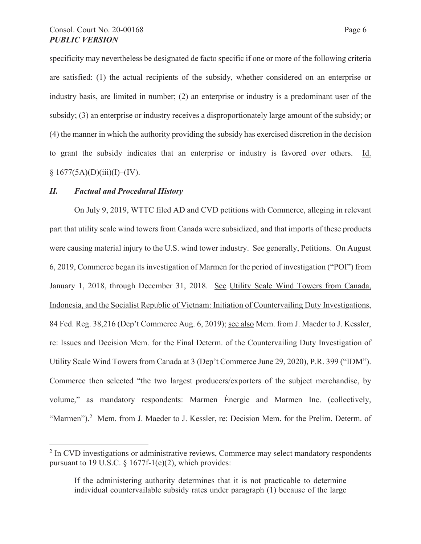specificity may nevertheless be designated de facto specific if one or more of the following criteria are satisfied: (1) the actual recipients of the subsidy, whether considered on an enterprise or industry basis, are limited in number; (2) an enterprise or industry is a predominant user of the subsidy; (3) an enterprise or industry receives a disproportionately large amount of the subsidy; or (4) the manner in which the authority providing the subsidy has exercised discretion in the decision to grant the subsidy indicates that an enterprise or industry is favored over others. Id.  $§ 1677(5A)(D)(iii)(I)–(IV).$ 

## *II. Factual and Procedural History*

On July 9, 2019, WTTC filed AD and CVD petitions with Commerce, alleging in relevant part that utility scale wind towers from Canada were subsidized, and that imports of these products were causing material injury to the U.S. wind tower industry. See generally, Petitions. On August 6, 2019, Commerce began its investigation of Marmen for the period of investigation ("POI") from January 1, 2018, through December 31, 2018. See Utility Scale Wind Towers from Canada, Indonesia, and the Socialist Republic of Vietnam: Initiation of Countervailing Duty Investigations, 84 Fed. Reg. 38,216 (Dep't Commerce Aug. 6, 2019); see also Mem. from J. Maeder to J. Kessler, re: Issues and Decision Mem. for the Final Determ. of the Countervailing Duty Investigation of Utility Scale Wind Towers from Canada at 3 (Dep't Commerce June 29, 2020), P.R. 399 ("IDM"). Commerce then selected "the two largest producers/exporters of the subject merchandise, by volume," as mandatory respondents: Marmen Énergie and Marmen Inc. (collectively, "Marmen").<sup>2</sup> Mem. from J. Maeder to J. Kessler, re: Decision Mem. for the Prelim. Determ. of

<sup>&</sup>lt;sup>2</sup> In CVD investigations or administrative reviews, Commerce may select mandatory respondents pursuant to 19 U.S.C. § 1677f-1(e)(2), which provides:

If the administering authority determines that it is not practicable to determine individual countervailable subsidy rates under paragraph (1) because of the large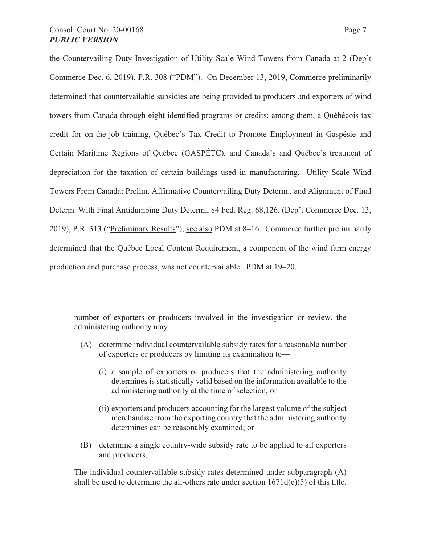the Countervailing Duty Investigation of Utility Scale Wind Towers from Canada at 2 (Dep't Commerce Dec. 6, 2019), P.R. 308 ("PDM"). On December 13, 2019, Commerce preliminarily determined that countervailable subsidies are being provided to producers and exporters of wind towers from Canada through eight identified programs or credits; among them, a Québécois tax credit for on-the-job training, Québec's Tax Credit to Promote Employment in Gaspésie and Certain Maritime Regions of Québec (GASPÉTC), and Canada's and Québec's treatment of depreciation for the taxation of certain buildings used in manufacturing. Utility Scale Wind Towers From Canada: Prelim. Affirmative Countervailing Duty Determ., and Alignment of Final Determ. With Final Antidumping Duty Determ., 84 Fed. Reg. 68,126. (Dep't Commerce Dec. 13, 2019), P.R. 313 ("Preliminary Results"); see also PDM at 8–16. Commerce further preliminarily determined that the Québec Local Content Requirement, a component of the wind farm energy production and purchase process, was not countervailable. PDM at 19–20.

- (A) determine individual countervailable subsidy rates for a reasonable number of exporters or producers by limiting its examination to—
	- (i) a sample of exporters or producers that the administering authority determines is statistically valid based on the information available to the administering authority at the time of selection, or
	- (ii) exporters and producers accounting for the largest volume of the subject merchandise from the exporting country that the administering authority determines can be reasonably examined; or
- (B) determine a single country-wide subsidy rate to be applied to all exporters and producers.

The individual countervailable subsidy rates determined under subparagraph (A) shall be used to determine the all-others rate under section  $1671d(c)(5)$  of this title.

number of exporters or producers involved in the investigation or review, the administering authority may—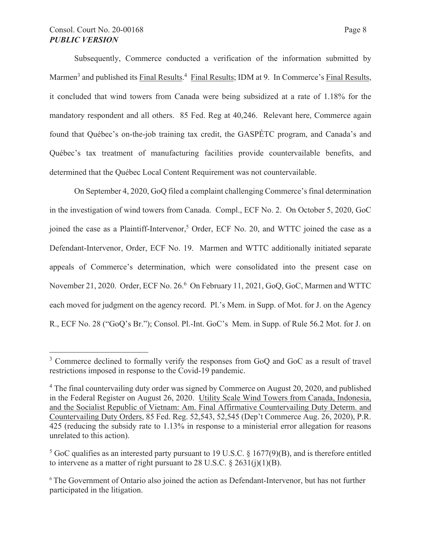# Consol. Court No. 20-00168 Page 8 *PUBLIC VERSION*

Subsequently, Commerce conducted a verification of the information submitted by Marmen<sup>3</sup> and published its Final Results.<sup>4</sup> Final Results; IDM at 9. In Commerce's Final Results, it concluded that wind towers from Canada were being subsidized at a rate of 1.18% for the mandatory respondent and all others. 85 Fed. Reg at 40,246. Relevant here, Commerce again found that Québec's on-the-job training tax credit, the GASPÉTC program, and Canada's and Québec's tax treatment of manufacturing facilities provide countervailable benefits, and determined that the Québec Local Content Requirement was not countervailable.

On September 4, 2020, GoQ filed a complaint challenging Commerce's final determination in the investigation of wind towers from Canada. Compl., ECF No. 2. On October 5, 2020, GoC joined the case as a Plaintiff-Intervenor,<sup>5</sup> Order, ECF No. 20, and WTTC joined the case as a Defendant-Intervenor, Order, ECF No. 19. Marmen and WTTC additionally initiated separate appeals of Commerce's determination, which were consolidated into the present case on November 21, 2020. Order, ECF No. 26.<sup>6</sup> On February 11, 2021, GoQ, GoC, Marmen and WTTC each moved for judgment on the agency record. Pl.'s Mem. in Supp. of Mot. for J. on the Agency R., ECF No. 28 ("GoQ's Br."); Consol. Pl.-Int. GoC's Mem. in Supp. of Rule 56.2 Mot. for J. on

<sup>&</sup>lt;sup>3</sup> Commerce declined to formally verify the responses from GoQ and GoC as a result of travel restrictions imposed in response to the Covid-19 pandemic.

<sup>&</sup>lt;sup>4</sup> The final countervailing duty order was signed by Commerce on August 20, 2020, and published in the Federal Register on August 26, 2020. Utility Scale Wind Towers from Canada, Indonesia, and the Socialist Republic of Vietnam: Am. Final Affirmative Countervailing Duty Determ. and Countervailing Duty Orders, 85 Fed. Reg. 52,543, 52,545 (Dep't Commerce Aug. 26, 2020), P.R. 425 (reducing the subsidy rate to 1.13% in response to a ministerial error allegation for reasons unrelated to this action).

<sup>&</sup>lt;sup>5</sup> GoC qualifies as an interested party pursuant to 19 U.S.C. § 1677(9)(B), and is therefore entitled to intervene as a matter of right pursuant to 28 U.S.C.  $\S$  2631(j)(1)(B).

<sup>&</sup>lt;sup>6</sup> The Government of Ontario also joined the action as Defendant-Intervenor, but has not further participated in the litigation.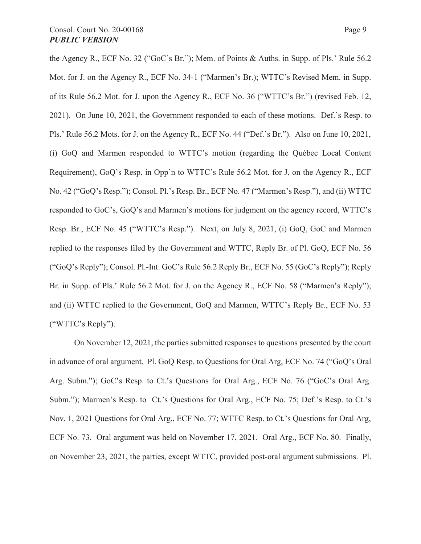the Agency R., ECF No. 32 ("GoC's Br."); Mem. of Points & Auths. in Supp. of Pls.' Rule 56.2 Mot. for J. on the Agency R., ECF No. 34-1 ("Marmen's Br.); WTTC's Revised Mem. in Supp. of its Rule 56.2 Mot. for J. upon the Agency R., ECF No. 36 ("WTTC's Br.") (revised Feb. 12, 2021). On June 10, 2021, the Government responded to each of these motions. Def.'s Resp. to Pls.' Rule 56.2 Mots. for J. on the Agency R., ECF No. 44 ("Def.'s Br."). Also on June 10, 2021, (i) GoQ and Marmen responded to WTTC's motion (regarding the Québec Local Content Requirement), GoQ's Resp. in Opp'n to WTTC's Rule 56.2 Mot. for J. on the Agency R., ECF No. 42 ("GoQ's Resp."); Consol. Pl.'s Resp. Br., ECF No. 47 ("Marmen's Resp."), and (ii) WTTC responded to GoC's, GoQ's and Marmen's motions for judgment on the agency record, WTTC's Resp. Br., ECF No. 45 ("WTTC's Resp."). Next, on July 8, 2021, (i) GoQ, GoC and Marmen replied to the responses filed by the Government and WTTC, Reply Br. of Pl. GoQ, ECF No. 56 ("GoQ's Reply"); Consol. Pl.-Int. GoC's Rule 56.2 Reply Br., ECF No. 55 (GoC's Reply"); Reply Br. in Supp. of Pls.' Rule 56.2 Mot. for J. on the Agency R., ECF No. 58 ("Marmen's Reply"); and (ii) WTTC replied to the Government, GoQ and Marmen, WTTC's Reply Br., ECF No. 53 ("WTTC's Reply").

On November 12, 2021, the parties submitted responses to questions presented by the court in advance of oral argument. Pl. GoQ Resp. to Questions for Oral Arg, ECF No. 74 ("GoQ's Oral Arg. Subm."); GoC's Resp. to Ct.'s Questions for Oral Arg., ECF No. 76 ("GoC's Oral Arg. Subm."); Marmen's Resp. to Ct.'s Questions for Oral Arg., ECF No. 75; Def.'s Resp. to Ct.'s Nov. 1, 2021 Questions for Oral Arg., ECF No. 77; WTTC Resp. to Ct.'s Questions for Oral Arg, ECF No. 73. Oral argument was held on November 17, 2021. Oral Arg., ECF No. 80. Finally, on November 23, 2021, the parties, except WTTC, provided post-oral argument submissions. Pl.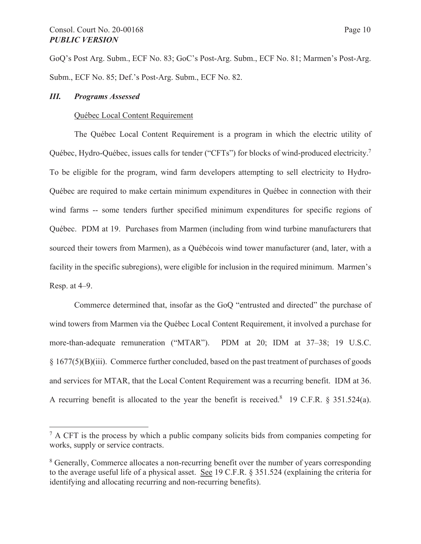GoQ's Post Arg. Subm., ECF No. 83; GoC's Post-Arg. Subm., ECF No. 81; Marmen's Post-Arg. Subm., ECF No. 85; Def.'s Post-Arg. Subm., ECF No. 82.

### *III. Programs Assessed*

### Québec Local Content Requirement

The Québec Local Content Requirement is a program in which the electric utility of Québec, Hydro-Québec, issues calls for tender ("CFTs") for blocks of wind-produced electricity.<sup>7</sup> To be eligible for the program, wind farm developers attempting to sell electricity to Hydro-Québec are required to make certain minimum expenditures in Québec in connection with their wind farms -- some tenders further specified minimum expenditures for specific regions of Québec. PDM at 19. Purchases from Marmen (including from wind turbine manufacturers that sourced their towers from Marmen), as a Québécois wind tower manufacturer (and, later, with a facility in the specific subregions), were eligible for inclusion in the required minimum. Marmen's Resp. at 4–9.

Commerce determined that, insofar as the GoQ "entrusted and directed" the purchase of wind towers from Marmen via the Québec Local Content Requirement, it involved a purchase for more-than-adequate remuneration ("MTAR"). PDM at 20; IDM at 37–38; 19 U.S.C. § 1677(5)(B)(iii). Commerce further concluded, based on the past treatment of purchases of goods and services for MTAR, that the Local Content Requirement was a recurring benefit. IDM at 36. A recurring benefit is allocated to the year the benefit is received.<sup>8</sup> 19 C.F.R. § 351.524(a).

 $<sup>7</sup>$  A CFT is the process by which a public company solicits bids from companies competing for</sup> works, supply or service contracts.

<sup>&</sup>lt;sup>8</sup> Generally, Commerce allocates a non-recurring benefit over the number of years corresponding to the average useful life of a physical asset. See 19 C.F.R. § 351.524 (explaining the criteria for identifying and allocating recurring and non-recurring benefits).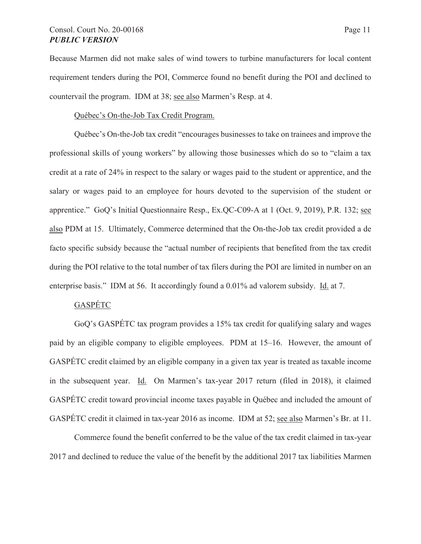# Consol. Court No. 20-00168 Page 11 *PUBLIC VERSION*

Because Marmen did not make sales of wind towers to turbine manufacturers for local content requirement tenders during the POI, Commerce found no benefit during the POI and declined to countervail the program. IDM at 38; see also Marmen's Resp. at 4.

## Québec's On-the-Job Tax Credit Program.

Québec's On-the-Job tax credit "encourages businesses to take on trainees and improve the professional skills of young workers" by allowing those businesses which do so to "claim a tax credit at a rate of 24% in respect to the salary or wages paid to the student or apprentice, and the salary or wages paid to an employee for hours devoted to the supervision of the student or apprentice." GoQ's Initial Questionnaire Resp., Ex.QC-C09-A at 1 (Oct. 9, 2019), P.R. 132; see also PDM at 15. Ultimately, Commerce determined that the On-the-Job tax credit provided a de facto specific subsidy because the "actual number of recipients that benefited from the tax credit during the POI relative to the total number of tax filers during the POI are limited in number on an enterprise basis." IDM at 56. It accordingly found a 0.01% ad valorem subsidy. Id. at 7.

# **GASPÉTC**

GoQ's GASPÉTC tax program provides a 15% tax credit for qualifying salary and wages paid by an eligible company to eligible employees. PDM at 15–16. However, the amount of GASPÉTC credit claimed by an eligible company in a given tax year is treated as taxable income in the subsequent year. Id. On Marmen's tax-year 2017 return (filed in 2018), it claimed GASPÉTC credit toward provincial income taxes payable in Québec and included the amount of GASPÉTC credit it claimed in tax-year 2016 as income. IDM at 52; see also Marmen's Br. at 11.

Commerce found the benefit conferred to be the value of the tax credit claimed in tax-year 2017 and declined to reduce the value of the benefit by the additional 2017 tax liabilities Marmen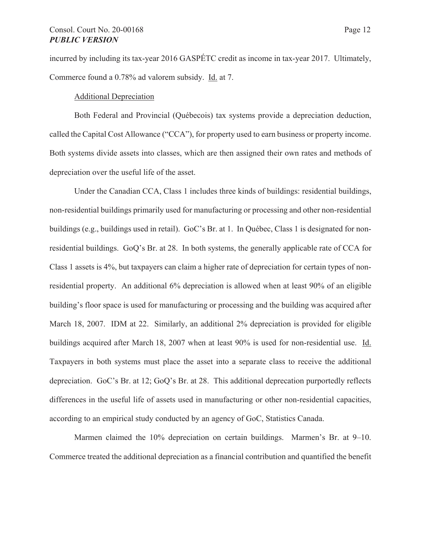# Consol. Court No. 20-00168 Page 12 *PUBLIC VERSION*

incurred by including its tax-year 2016 GASPÉTC credit as income in tax-year 2017. Ultimately, Commerce found a 0.78% ad valorem subsidy. Id. at 7.

## Additional Depreciation

Both Federal and Provincial (Québecois) tax systems provide a depreciation deduction, called the Capital Cost Allowance ("CCA"), for property used to earn business or property income. Both systems divide assets into classes, which are then assigned their own rates and methods of depreciation over the useful life of the asset.

Under the Canadian CCA, Class 1 includes three kinds of buildings: residential buildings, non-residential buildings primarily used for manufacturing or processing and other non-residential buildings (e.g., buildings used in retail). GoC's Br. at 1. In Québec, Class 1 is designated for nonresidential buildings. GoQ's Br. at 28. In both systems, the generally applicable rate of CCA for Class 1 assets is 4%, but taxpayers can claim a higher rate of depreciation for certain types of nonresidential property. An additional 6% depreciation is allowed when at least 90% of an eligible building's floor space is used for manufacturing or processing and the building was acquired after March 18, 2007. IDM at 22. Similarly, an additional 2% depreciation is provided for eligible buildings acquired after March 18, 2007 when at least 90% is used for non-residential use. Id. Taxpayers in both systems must place the asset into a separate class to receive the additional depreciation. GoC's Br. at 12; GoQ's Br. at 28. This additional deprecation purportedly reflects differences in the useful life of assets used in manufacturing or other non-residential capacities, according to an empirical study conducted by an agency of GoC, Statistics Canada.

Marmen claimed the 10% depreciation on certain buildings. Marmen's Br. at 9–10. Commerce treated the additional depreciation as a financial contribution and quantified the benefit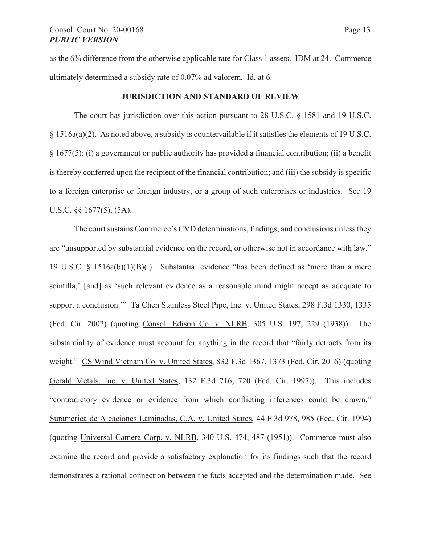as the 6% difference from the otherwise applicable rate for Class 1 assets. IDM at 24. Commerce ultimately determined a subsidy rate of 0.07% ad valorem. Id. at 6.

#### **JURISDICTION AND STANDARD OF REVIEW**

The court has jurisdiction over this action pursuant to 28 U.S.C. § 1581 and 19 U.S.C. § 1516a(a)(2). As noted above, a subsidy is countervailable if it satisfies the elements of 19 U.S.C. § 1677(5): (i) a government or public authority has provided a financial contribution; (ii) a benefit is thereby conferred upon the recipient of the financial contribution; and (iii) the subsidy is specific to a foreign enterprise or foreign industry, or a group of such enterprises or industries. See 19 U.S.C. §§ 1677(5), (5A).

The court sustains Commerce's CVD determinations, findings, and conclusions unless they are "unsupported by substantial evidence on the record, or otherwise not in accordance with law." 19 U.S.C. § 1516a(b)(1)(B)(i). Substantial evidence "has been defined as 'more than a mere scintilla,' [and] as 'such relevant evidence as a reasonable mind might accept as adequate to support a conclusion.'" Ta Chen Stainless Steel Pipe, Inc. v. United States, 298 F.3d 1330, 1335 (Fed. Cir. 2002) (quoting Consol. Edison Co. v. NLRB, 305 U.S. 197, 229 (1938)). The substantiality of evidence must account for anything in the record that "fairly detracts from its weight." CS Wind Vietnam Co. v. United States, 832 F.3d 1367, 1373 (Fed. Cir. 2016) (quoting Gerald Metals, Inc. v. United States, 132 F.3d 716, 720 (Fed. Cir. 1997)). This includes "contradictory evidence or evidence from which conflicting inferences could be drawn." Suramerica de Aleaciones Laminadas, C.A. v. United States, 44 F.3d 978, 985 (Fed. Cir. 1994) (quoting Universal Camera Corp. v. NLRB, 340 U.S. 474, 487 (1951)). Commerce must also examine the record and provide a satisfactory explanation for its findings such that the record demonstrates a rational connection between the facts accepted and the determination made. See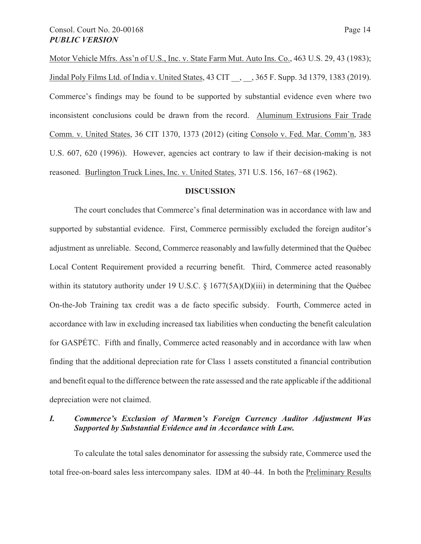Motor Vehicle Mfrs. Ass'n of U.S., Inc. v. State Farm Mut. Auto Ins. Co., 463 U.S. 29, 43 (1983); Jindal Poly Films Ltd. of India v. United States, 43 CIT, 365 F. Supp. 3d 1379, 1383 (2019). Commerce's findings may be found to be supported by substantial evidence even where two inconsistent conclusions could be drawn from the record. Aluminum Extrusions Fair Trade Comm. v. United States, 36 CIT 1370, 1373 (2012) (citing Consolo v. Fed. Mar. Comm'n, 383 U.S. 607, 620 (1996)). However, agencies act contrary to law if their decision-making is not reasoned. Burlington Truck Lines, Inc. v. United States, 371 U.S. 156, 167–68 (1962).

#### **DISCUSSION**

The court concludes that Commerce's final determination was in accordance with law and supported by substantial evidence. First, Commerce permissibly excluded the foreign auditor's adjustment as unreliable. Second, Commerce reasonably and lawfully determined that the Québec Local Content Requirement provided a recurring benefit. Third, Commerce acted reasonably within its statutory authority under 19 U.S.C. § 1677(5A)(D)(iii) in determining that the Québec On-the-Job Training tax credit was a de facto specific subsidy. Fourth, Commerce acted in accordance with law in excluding increased tax liabilities when conducting the benefit calculation for GASPÉTC. Fifth and finally, Commerce acted reasonably and in accordance with law when finding that the additional depreciation rate for Class 1 assets constituted a financial contribution and benefit equal to the difference between the rate assessed and the rate applicable if the additional depreciation were not claimed.

## *I. Commerce's Exclusion of Marmen's Foreign Currency Auditor Adjustment Was Supported by Substantial Evidence and in Accordance with Law.*

To calculate the total sales denominator for assessing the subsidy rate, Commerce used the total free-on-board sales less intercompany sales. IDM at 40–44. In both the Preliminary Results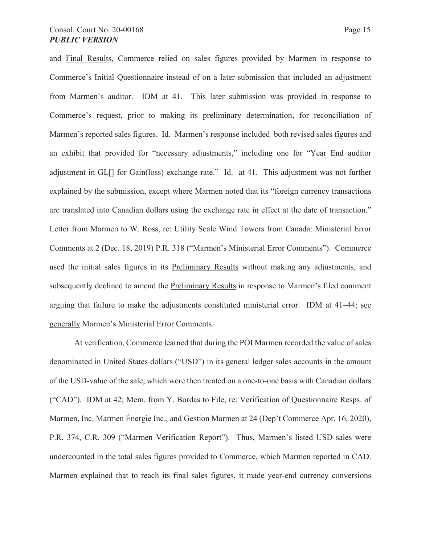and Final Results, Commerce relied on sales figures provided by Marmen in response to Commerce's Initial Questionnaire instead of on a later submission that included an adjustment from Marmen's auditor. IDM at 41. This later submission was provided in response to Commerce's request, prior to making its preliminary determination, for reconciliation of Marmen's reported sales figures. Id. Marmen's response included both revised sales figures and an exhibit that provided for "necessary adjustments," including one for "Year End auditor adjustment in GL[] for Gain(loss) exchange rate." Id. at 41. This adjustment was not further explained by the submission, except where Marmen noted that its "foreign currency transactions are translated into Canadian dollars using the exchange rate in effect at the date of transaction." Letter from Marmen to W. Ross, re: Utility Scale Wind Towers from Canada: Ministerial Error Comments at 2 (Dec. 18, 2019) P.R. 318 ("Marmen's Ministerial Error Comments"). Commerce used the initial sales figures in its Preliminary Results without making any adjustments, and subsequently declined to amend the Preliminary Results in response to Marmen's filed comment arguing that failure to make the adjustments constituted ministerial error. IDM at 41–44; see generally Marmen's Ministerial Error Comments.

At verification, Commerce learned that during the POI Marmen recorded the value of sales denominated in United States dollars ("USD") in its general ledger sales accounts in the amount of the USD-value of the sale, which were then treated on a one-to-one basis with Canadian dollars ("CAD"). IDM at 42; Mem. from Y. Bordas to File, re: Verification of Questionnaire Resps. of Marmen, Inc. Marmen Énergie Inc., and Gestion Marmen at 24 (Dep't Commerce Apr. 16, 2020), P.R. 374, C.R. 309 ("Marmen Verification Report"). Thus, Marmen's listed USD sales were undercounted in the total sales figures provided to Commerce, which Marmen reported in CAD. Marmen explained that to reach its final sales figures, it made year-end currency conversions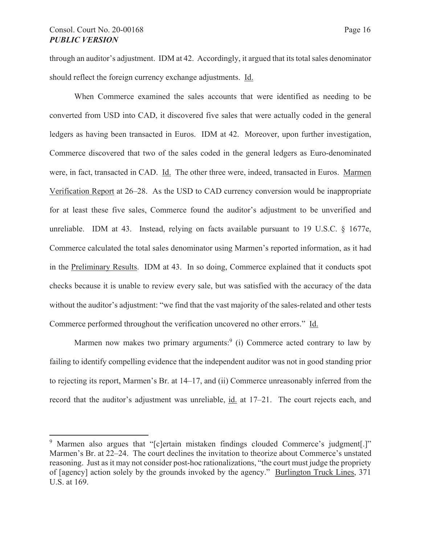through an auditor's adjustment. IDM at 42. Accordingly, it argued that its total sales denominator should reflect the foreign currency exchange adjustments. Id.

When Commerce examined the sales accounts that were identified as needing to be converted from USD into CAD, it discovered five sales that were actually coded in the general ledgers as having been transacted in Euros. IDM at 42. Moreover, upon further investigation, Commerce discovered that two of the sales coded in the general ledgers as Euro-denominated were, in fact, transacted in CAD. Id. The other three were, indeed, transacted in Euros. Marmen Verification Report at 26–28. As the USD to CAD currency conversion would be inappropriate for at least these five sales, Commerce found the auditor's adjustment to be unverified and unreliable. IDM at 43. Instead, relying on facts available pursuant to 19 U.S.C. § 1677e, Commerce calculated the total sales denominator using Marmen's reported information, as it had in the Preliminary Results. IDM at 43. In so doing, Commerce explained that it conducts spot checks because it is unable to review every sale, but was satisfied with the accuracy of the data without the auditor's adjustment: "we find that the vast majority of the sales-related and other tests Commerce performed throughout the verification uncovered no other errors." Id.

Marmen now makes two primary arguments: $9$  (i) Commerce acted contrary to law by failing to identify compelling evidence that the independent auditor was not in good standing prior to rejecting its report, Marmen's Br. at 14–17, and (ii) Commerce unreasonably inferred from the record that the auditor's adjustment was unreliable, id. at 17–21. The court rejects each, and

<sup>&</sup>lt;sup>9</sup> Marmen also argues that "[c]ertain mistaken findings clouded Commerce's judgment[.]" Marmen's Br. at 22–24. The court declines the invitation to theorize about Commerce's unstated reasoning. Just as it may not consider post-hoc rationalizations, "the court must judge the propriety of [agency] action solely by the grounds invoked by the agency." Burlington Truck Lines, 371 U.S. at 169.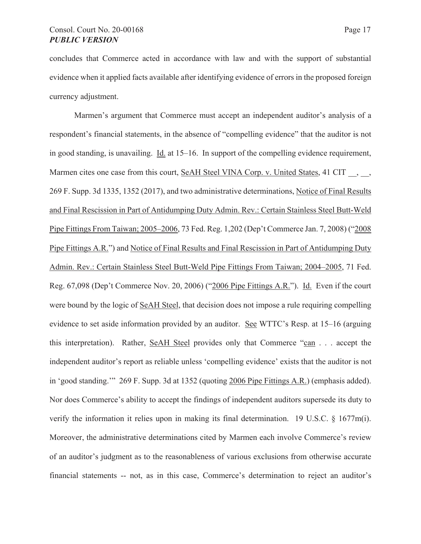concludes that Commerce acted in accordance with law and with the support of substantial evidence when it applied facts available after identifying evidence of errors in the proposed foreign currency adjustment.

Marmen's argument that Commerce must accept an independent auditor's analysis of a respondent's financial statements, in the absence of "compelling evidence" that the auditor is not in good standing, is unavailing. Id. at 15–16. In support of the compelling evidence requirement, Marmen cites one case from this court, SeAH Steel VINA Corp. v. United States, 41 CIT,  $\frac{1}{2}$ , 269 F. Supp. 3d 1335, 1352 (2017), and two administrative determinations, Notice of Final Results and Final Rescission in Part of Antidumping Duty Admin. Rev.: Certain Stainless Steel Butt-Weld Pipe Fittings From Taiwan; 2005–2006, 73 Fed. Reg. 1,202 (Dep't Commerce Jan. 7, 2008) ("2008 Pipe Fittings A.R.") and Notice of Final Results and Final Rescission in Part of Antidumping Duty Admin. Rev.: Certain Stainless Steel Butt-Weld Pipe Fittings From Taiwan; 2004–2005, 71 Fed. Reg. 67,098 (Dep't Commerce Nov. 20, 2006) ("2006 Pipe Fittings A.R."). Id. Even if the court were bound by the logic of SeAH Steel, that decision does not impose a rule requiring compelling evidence to set aside information provided by an auditor. See WTTC's Resp. at 15–16 (arguing this interpretation). Rather, SeAH Steel provides only that Commerce "can . . . accept the independent auditor's report as reliable unless 'compelling evidence' exists that the auditor is not in 'good standing.'" 269 F. Supp. 3d at 1352 (quoting 2006 Pipe Fittings A.R.) (emphasis added). Nor does Commerce's ability to accept the findings of independent auditors supersede its duty to verify the information it relies upon in making its final determination. 19 U.S.C. § 1677m(i). Moreover, the administrative determinations cited by Marmen each involve Commerce's review of an auditor's judgment as to the reasonableness of various exclusions from otherwise accurate financial statements -- not, as in this case, Commerce's determination to reject an auditor's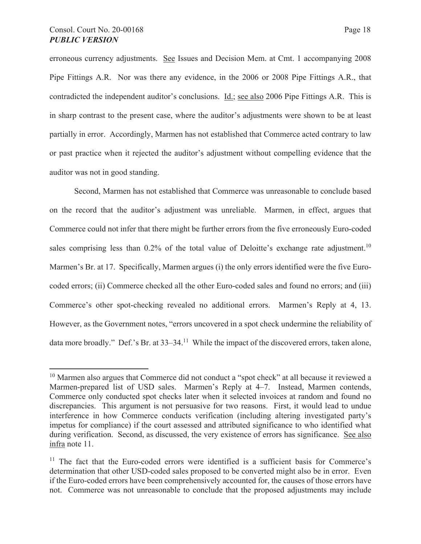erroneous currency adjustments. See Issues and Decision Mem. at Cmt. 1 accompanying 2008 Pipe Fittings A.R. Nor was there any evidence, in the 2006 or 2008 Pipe Fittings A.R., that contradicted the independent auditor's conclusions. Id.; see also 2006 Pipe Fittings A.R. This is in sharp contrast to the present case, where the auditor's adjustments were shown to be at least partially in error. Accordingly, Marmen has not established that Commerce acted contrary to law or past practice when it rejected the auditor's adjustment without compelling evidence that the auditor was not in good standing.

Second, Marmen has not established that Commerce was unreasonable to conclude based on the record that the auditor's adjustment was unreliable. Marmen, in effect, argues that Commerce could not infer that there might be further errors from the five erroneously Euro-coded sales comprising less than  $0.2\%$  of the total value of Deloitte's exchange rate adjustment.<sup>10</sup> Marmen's Br. at 17. Specifically, Marmen argues (i) the only errors identified were the five Eurocoded errors; (ii) Commerce checked all the other Euro-coded sales and found no errors; and (iii) Commerce's other spot-checking revealed no additional errors. Marmen's Reply at 4, 13. However, as the Government notes, "errors uncovered in a spot check undermine the reliability of data more broadly." Def.'s Br. at 33–34.<sup>11</sup> While the impact of the discovered errors, taken alone,

<sup>&</sup>lt;sup>10</sup> Marmen also argues that Commerce did not conduct a "spot check" at all because it reviewed a Marmen-prepared list of USD sales. Marmen's Reply at 4–7. Instead, Marmen contends, Commerce only conducted spot checks later when it selected invoices at random and found no discrepancies. This argument is not persuasive for two reasons. First, it would lead to undue interference in how Commerce conducts verification (including altering investigated party's impetus for compliance) if the court assessed and attributed significance to who identified what during verification. Second, as discussed, the very existence of errors has significance. See also infra note 11.

 $11$  The fact that the Euro-coded errors were identified is a sufficient basis for Commerce's determination that other USD-coded sales proposed to be converted might also be in error. Even if the Euro-coded errors have been comprehensively accounted for, the causes of those errors have not. Commerce was not unreasonable to conclude that the proposed adjustments may include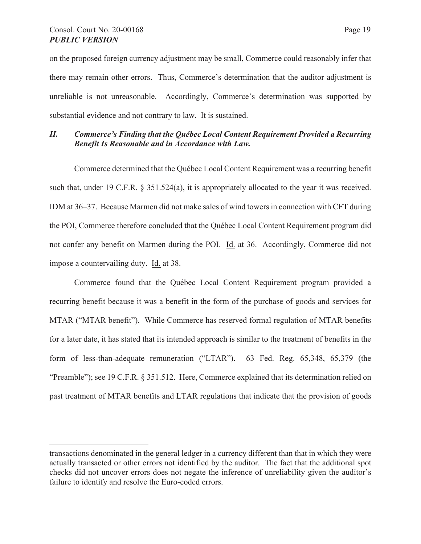on the proposed foreign currency adjustment may be small, Commerce could reasonably infer that there may remain other errors. Thus, Commerce's determination that the auditor adjustment is unreliable is not unreasonable. Accordingly, Commerce's determination was supported by substantial evidence and not contrary to law. It is sustained.

# *II. Commerce's Finding that the Québec Local Content Requirement Provided a Recurring Benefit Is Reasonable and in Accordance with Law.*

Commerce determined that the Québec Local Content Requirement was a recurring benefit such that, under 19 C.F.R. § 351.524(a), it is appropriately allocated to the year it was received. IDM at 36–37. Because Marmen did not make sales of wind towers in connection with CFT during the POI, Commerce therefore concluded that the Québec Local Content Requirement program did not confer any benefit on Marmen during the POI. Id. at 36. Accordingly, Commerce did not impose a countervailing duty. Id. at 38.

Commerce found that the Québec Local Content Requirement program provided a recurring benefit because it was a benefit in the form of the purchase of goods and services for MTAR ("MTAR benefit"). While Commerce has reserved formal regulation of MTAR benefits for a later date, it has stated that its intended approach is similar to the treatment of benefits in the form of less-than-adequate remuneration ("LTAR"). 63 Fed. Reg. 65,348, 65,379 (the "Preamble"); see 19 C.F.R. § 351.512. Here, Commerce explained that its determination relied on past treatment of MTAR benefits and LTAR regulations that indicate that the provision of goods

transactions denominated in the general ledger in a currency different than that in which they were actually transacted or other errors not identified by the auditor. The fact that the additional spot checks did not uncover errors does not negate the inference of unreliability given the auditor's failure to identify and resolve the Euro-coded errors.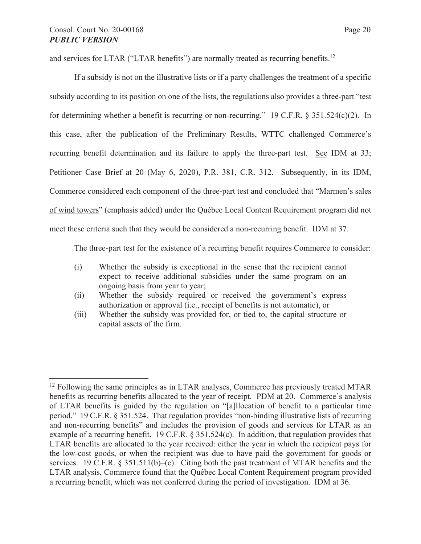and services for LTAR ("LTAR benefits") are normally treated as recurring benefits.<sup>12</sup>

If a subsidy is not on the illustrative lists or if a party challenges the treatment of a specific subsidy according to its position on one of the lists, the regulations also provides a three-part "test for determining whether a benefit is recurring or non-recurring." 19 C.F.R. § 351.524(c)(2). In this case, after the publication of the Preliminary Results, WTTC challenged Commerce's recurring benefit determination and its failure to apply the three-part test. See IDM at 33; Petitioner Case Brief at 20 (May 6, 2020), P.R. 381, C.R. 312. Subsequently, in its IDM, Commerce considered each component of the three-part test and concluded that "Marmen's sales of wind towers" (emphasis added) under the Québec Local Content Requirement program did not meet these criteria such that they would be considered a non-recurring benefit. IDM at 37.

The three-part test for the existence of a recurring benefit requires Commerce to consider:

- (i) Whether the subsidy is exceptional in the sense that the recipient cannot expect to receive additional subsidies under the same program on an ongoing basis from year to year;
- (ii) Whether the subsidy required or received the government's express authorization or approval (i.e., receipt of benefits is not automatic), or
- (iii) Whether the subsidy was provided for, or tied to, the capital structure or capital assets of the firm.

 $12$  Following the same principles as in LTAR analyses, Commerce has previously treated MTAR benefits as recurring benefits allocated to the year of receipt. PDM at 20. Commerce's analysis of LTAR benefits is guided by the regulation on "[a]llocation of benefit to a particular time period." 19 C.F.R. § 351.524. That regulation provides "non-binding illustrative lists of recurring and non-recurring benefits" and includes the provision of goods and services for LTAR as an example of a recurring benefit. 19 C.F.R. § 351.524(c). In addition, that regulation provides that LTAR benefits are allocated to the year received: either the year in which the recipient pays for the low-cost goods, or when the recipient was due to have paid the government for goods or services. 19 C.F.R. § 351.511(b)–(c). Citing both the past treatment of MTAR benefits and the LTAR analysis, Commerce found that the Québec Local Content Requirement program provided a recurring benefit, which was not conferred during the period of investigation. IDM at 36.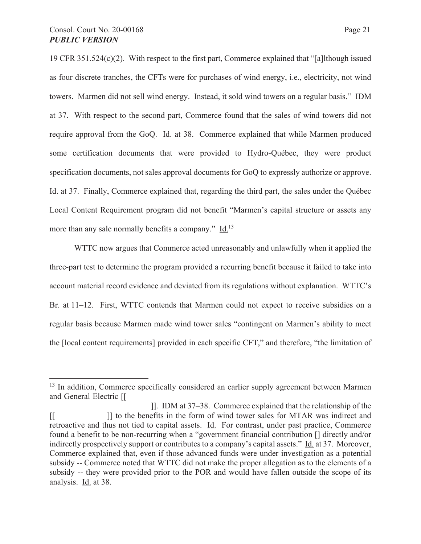19 CFR 351.524(c)(2). With respect to the first part, Commerce explained that "[a]lthough issued as four discrete tranches, the CFTs were for purchases of wind energy, i.e., electricity, not wind towers. Marmen did not sell wind energy. Instead, it sold wind towers on a regular basis." IDM at 37. With respect to the second part, Commerce found that the sales of wind towers did not require approval from the GoQ. Id. at 38. Commerce explained that while Marmen produced some certification documents that were provided to Hydro-Québec, they were product specification documents, not sales approval documents for GoQ to expressly authorize or approve. Id. at 37. Finally, Commerce explained that, regarding the third part, the sales under the Québec Local Content Requirement program did not benefit "Marmen's capital structure or assets any more than any sale normally benefits a company." Id.<sup>13</sup>

WTTC now argues that Commerce acted unreasonably and unlawfully when it applied the three-part test to determine the program provided a recurring benefit because it failed to take into account material record evidence and deviated from its regulations without explanation. WTTC's Br. at 11–12. First, WTTC contends that Marmen could not expect to receive subsidies on a regular basis because Marmen made wind tower sales "contingent on Marmen's ability to meet the [local content requirements] provided in each specific CFT," and therefore, "the limitation of

<sup>&</sup>lt;sup>13</sup> In addition, Commerce specifically considered an earlier supply agreement between Marmen and General Electric [[

 <sup>]].</sup> IDM at 37–38. Commerce explained that the relationship of the [[ ]] to the benefits in the form of wind tower sales for MTAR was indirect and retroactive and thus not tied to capital assets. Id. For contrast, under past practice, Commerce found a benefit to be non-recurring when a "government financial contribution [] directly and/or indirectly prospectively support or contributes to a company's capital assets." Id. at 37. Moreover, Commerce explained that, even if those advanced funds were under investigation as a potential subsidy -- Commerce noted that WTTC did not make the proper allegation as to the elements of a subsidy -- they were provided prior to the POR and would have fallen outside the scope of its analysis. Id. at 38.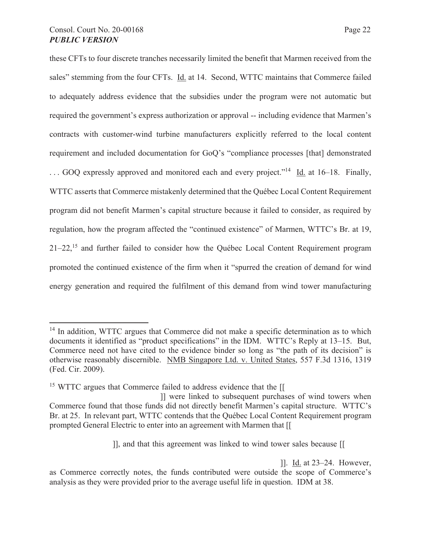these CFTs to four discrete tranches necessarily limited the benefit that Marmen received from the sales" stemming from the four CFTs. Id. at 14. Second, WTTC maintains that Commerce failed to adequately address evidence that the subsidies under the program were not automatic but required the government's express authorization or approval -- including evidence that Marmen's contracts with customer-wind turbine manufacturers explicitly referred to the local content requirement and included documentation for GoQ's "compliance processes [that] demonstrated  $\ldots$  GOQ expressly approved and monitored each and every project."<sup>14</sup> Id. at 16–18. Finally, WTTC asserts that Commerce mistakenly determined that the Québec Local Content Requirement program did not benefit Marmen's capital structure because it failed to consider, as required by regulation, how the program affected the "continued existence" of Marmen, WTTC's Br. at 19,  $21-22$ <sup>15</sup> and further failed to consider how the Québec Local Content Requirement program promoted the continued existence of the firm when it "spurred the creation of demand for wind energy generation and required the fulfilment of this demand from wind tower manufacturing

]]. Id. at 23–24. However,

<sup>&</sup>lt;sup>14</sup> In addition, WTTC argues that Commerce did not make a specific determination as to which documents it identified as "product specifications" in the IDM. WTTC's Reply at 13–15. But, Commerce need not have cited to the evidence binder so long as "the path of its decision" is otherwise reasonably discernible. NMB Singapore Ltd. v. United States, 557 F.3d 1316, 1319 (Fed. Cir. 2009).

<sup>&</sup>lt;sup>15</sup> WTTC argues that Commerce failed to address evidence that the [[

 <sup>]]</sup> were linked to subsequent purchases of wind towers when Commerce found that those funds did not directly benefit Marmen's capital structure. WTTC's Br. at 25. In relevant part, WTTC contends that the Québec Local Content Requirement program prompted General Electric to enter into an agreement with Marmen that [[

<sup>]],</sup> and that this agreement was linked to wind tower sales because [[

as Commerce correctly notes, the funds contributed were outside the scope of Commerce's analysis as they were provided prior to the average useful life in question. IDM at 38.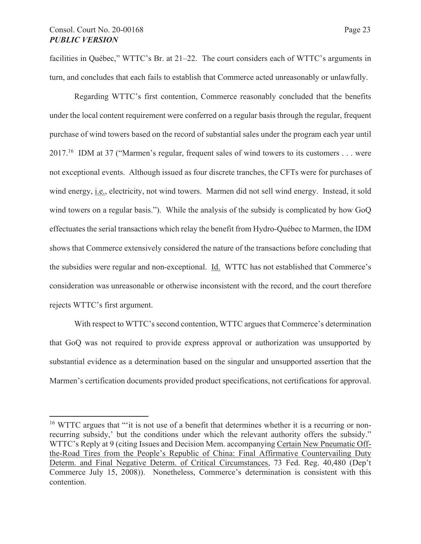facilities in Québec," WTTC's Br. at 21–22. The court considers each of WTTC's arguments in turn, and concludes that each fails to establish that Commerce acted unreasonably or unlawfully.

Regarding WTTC's first contention, Commerce reasonably concluded that the benefits under the local content requirement were conferred on a regular basis through the regular, frequent purchase of wind towers based on the record of substantial sales under the program each year until 2017.16 IDM at 37 ("Marmen's regular, frequent sales of wind towers to its customers . . . were not exceptional events. Although issued as four discrete tranches, the CFTs were for purchases of wind energy, i.e., electricity, not wind towers. Marmen did not sell wind energy. Instead, it sold wind towers on a regular basis."). While the analysis of the subsidy is complicated by how GoQ effectuates the serial transactions which relay the benefit from Hydro-Québec to Marmen, the IDM shows that Commerce extensively considered the nature of the transactions before concluding that the subsidies were regular and non-exceptional. Id. WTTC has not established that Commerce's consideration was unreasonable or otherwise inconsistent with the record, and the court therefore rejects WTTC's first argument.

With respect to WTTC's second contention, WTTC argues that Commerce's determination that GoQ was not required to provide express approval or authorization was unsupported by substantial evidence as a determination based on the singular and unsupported assertion that the Marmen's certification documents provided product specifications, not certifications for approval.

<sup>&</sup>lt;sup>16</sup> WTTC argues that ""it is not use of a benefit that determines whether it is a recurring or nonrecurring subsidy,' but the conditions under which the relevant authority offers the subsidy." WTTC's Reply at 9 (citing Issues and Decision Mem. accompanying Certain New Pneumatic Offthe-Road Tires from the People's Republic of China: Final Affirmative Countervailing Duty Determ. and Final Negative Determ. of Critical Circumstances, 73 Fed. Reg. 40,480 (Dep't Commerce July 15, 2008)). Nonetheless, Commerce's determination is consistent with this contention.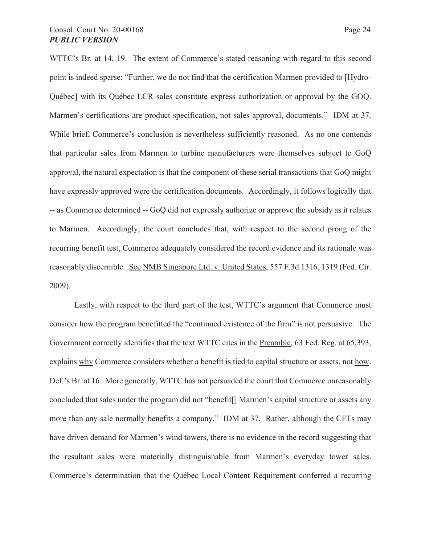# Consol. Court No. 20-00168 Page 24 *PUBLIC VERSION*

WTTC's Br. at 14, 19. The extent of Commerce's stated reasoning with regard to this second point is indeed sparse: "Further, we do not find that the certification Marmen provided to [Hydro-Québec] with its Québec LCR sales constitute express authorization or approval by the GOQ. Marmen's certifications are product specification, not sales approval, documents." IDM at 37. While brief, Commerce's conclusion is nevertheless sufficiently reasoned. As no one contends that particular sales from Marmen to turbine manufacturers were themselves subject to GoQ approval, the natural expectation is that the component of these serial transactions that GoQ might have expressly approved were the certification documents. Accordingly, it follows logically that -- as Commerce determined -- GoQ did not expressly authorize or approve the subsidy as it relates to Marmen. Accordingly, the court concludes that, with respect to the second prong of the recurring benefit test, Commerce adequately considered the record evidence and its rationale was reasonably discernible. See NMB Singapore Ltd. v. United States, 557 F.3d 1316, 1319 (Fed. Cir. 2009).

Lastly, with respect to the third part of the test, WTTC's argument that Commerce must consider how the program benefitted the "continued existence of the firm" is not persuasive. The Government correctly identifies that the text WTTC cites in the Preamble, 63 Fed. Reg. at 65,393, explains why Commerce considers whether a benefit is tied to capital structure or assets, not how. Def.'s Br. at 16. More generally, WTTC has not persuaded the court that Commerce unreasonably concluded that sales under the program did not "benefit[] Marmen's capital structure or assets any more than any sale normally benefits a company." IDM at 37. Rather, although the CFTs may have driven demand for Marmen's wind towers, there is no evidence in the record suggesting that the resultant sales were materially distinguishable from Marmen's everyday tower sales. Commerce's determination that the Québec Local Content Requirement conferred a recurring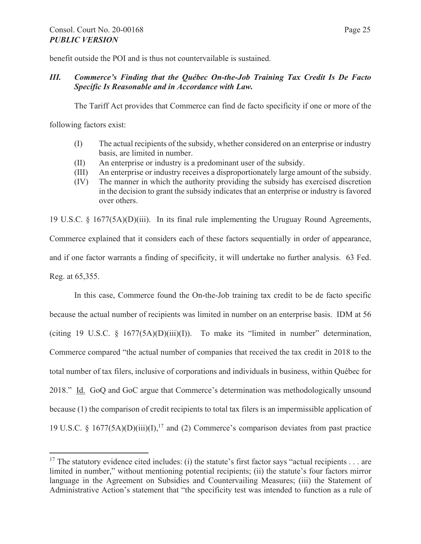benefit outside the POI and is thus not countervailable is sustained.

# *III. Commerce's Finding that the Québec On-the-Job Training Tax Credit Is De Facto Specific Is Reasonable and in Accordance with Law.*

The Tariff Act provides that Commerce can find de facto specificity if one or more of the

following factors exist:

- (I) The actual recipients of the subsidy, whether considered on an enterprise or industry basis, are limited in number.
- (II) An enterprise or industry is a predominant user of the subsidy.
- (III) An enterprise or industry receives a disproportionately large amount of the subsidy.
- (IV) The manner in which the authority providing the subsidy has exercised discretion in the decision to grant the subsidy indicates that an enterprise or industry is favored over others.

19 U.S.C. § 1677(5A)(D)(iii). In its final rule implementing the Uruguay Round Agreements, Commerce explained that it considers each of these factors sequentially in order of appearance, and if one factor warrants a finding of specificity, it will undertake no further analysis. 63 Fed. Reg. at 65,355.

In this case, Commerce found the On-the-Job training tax credit to be de facto specific because the actual number of recipients was limited in number on an enterprise basis. IDM at 56 (citing 19 U.S.C.  $\S$  1677(5A)(D)(iii)(I)). To make its "limited in number" determination, Commerce compared "the actual number of companies that received the tax credit in 2018 to the total number of tax filers, inclusive of corporations and individuals in business, within Québec for 2018." Id. GoQ and GoC argue that Commerce's determination was methodologically unsound because (1) the comparison of credit recipients to total tax filers is an impermissible application of 19 U.S.C. § 1677(5A)(D)(iii)(I),<sup>17</sup> and (2) Commerce's comparison deviates from past practice

<sup>&</sup>lt;sup>17</sup> The statutory evidence cited includes: (i) the statute's first factor says "actual recipients . . . are limited in number," without mentioning potential recipients; (ii) the statute's four factors mirror language in the Agreement on Subsidies and Countervailing Measures; (iii) the Statement of Administrative Action's statement that "the specificity test was intended to function as a rule of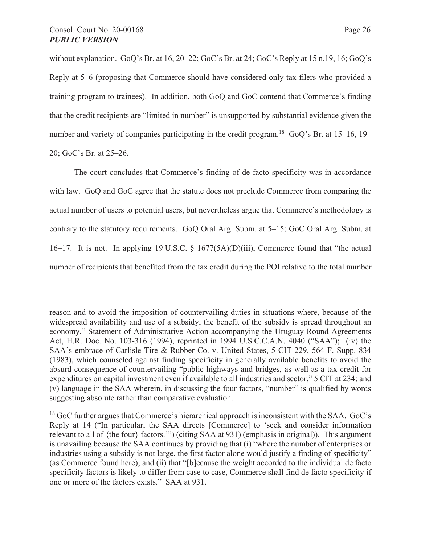without explanation. GoQ's Br. at 16, 20–22; GoC's Br. at 24; GoC's Reply at 15 n.19, 16; GoQ's Reply at 5–6 (proposing that Commerce should have considered only tax filers who provided a training program to trainees). In addition, both GoQ and GoC contend that Commerce's finding that the credit recipients are "limited in number" is unsupported by substantial evidence given the number and variety of companies participating in the credit program.<sup>18</sup> GoQ's Br. at  $15-16$ ,  $19-$ 20; GoC's Br. at 25–26.

The court concludes that Commerce's finding of de facto specificity was in accordance with law. GoQ and GoC agree that the statute does not preclude Commerce from comparing the actual number of users to potential users, but nevertheless argue that Commerce's methodology is contrary to the statutory requirements. GoQ Oral Arg. Subm. at 5–15; GoC Oral Arg. Subm. at 16–17. It is not. In applying 19 U.S.C. § 1677(5A)(D)(iii), Commerce found that "the actual number of recipients that benefited from the tax credit during the POI relative to the total number

reason and to avoid the imposition of countervailing duties in situations where, because of the widespread availability and use of a subsidy, the benefit of the subsidy is spread throughout an economy," Statement of Administrative Action accompanying the Uruguay Round Agreements Act, H.R. Doc. No. 103-316 (1994), reprinted in 1994 U.S.C.C.A.N. 4040 ("SAA"); (iv) the SAA's embrace of Carlisle Tire & Rubber Co. v. United States, 5 CIT 229, 564 F. Supp. 834 (1983), which counseled against finding specificity in generally available benefits to avoid the absurd consequence of countervailing "public highways and bridges, as well as a tax credit for expenditures on capital investment even if available to all industries and sector," 5 CIT at 234; and (v) language in the SAA wherein, in discussing the four factors, "number" is qualified by words suggesting absolute rather than comparative evaluation.

 $18$  GoC further argues that Commerce's hierarchical approach is inconsistent with the SAA. GoC's Reply at 14 ("In particular, the SAA directs [Commerce] to 'seek and consider information relevant to all of {the four} factors.'") (citing SAA at 931) (emphasis in original)). This argument is unavailing because the SAA continues by providing that (i) "where the number of enterprises or industries using a subsidy is not large, the first factor alone would justify a finding of specificity" (as Commerce found here); and (ii) that "[b]ecause the weight accorded to the individual de facto specificity factors is likely to differ from case to case, Commerce shall find de facto specificity if one or more of the factors exists." SAA at 931.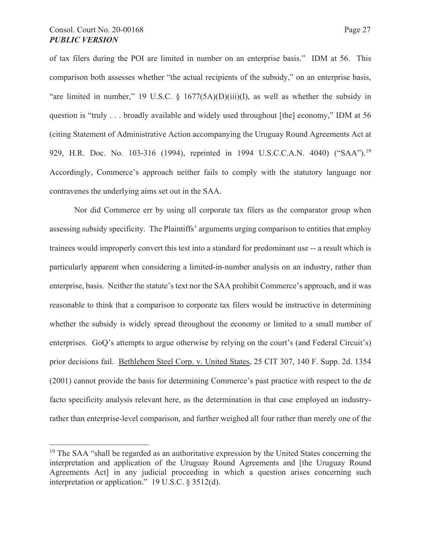of tax filers during the POI are limited in number on an enterprise basis." IDM at 56. This comparison both assesses whether "the actual recipients of the subsidy," on an enterprise basis, "are limited in number," 19 U.S.C.  $\S$  1677(5A)(D)(iii)(I), as well as whether the subsidy in question is "truly . . . broadly available and widely used throughout [the] economy," IDM at 56 (citing Statement of Administrative Action accompanying the Uruguay Round Agreements Act at 929, H.R. Doc. No. 103-316 (1994), reprinted in 1994 U.S.C.C.A.N. 4040) ("SAA").<sup>19</sup> Accordingly, Commerce's approach neither fails to comply with the statutory language nor contravenes the underlying aims set out in the SAA.

Nor did Commerce err by using all corporate tax filers as the comparator group when assessing subsidy specificity. The Plaintiffs' arguments urging comparison to entities that employ trainees would improperly convert this test into a standard for predominant use -- a result which is particularly apparent when considering a limited-in-number analysis on an industry, rather than enterprise, basis. Neither the statute's text nor the SAA prohibit Commerce's approach, and it was reasonable to think that a comparison to corporate tax filers would be instructive in determining whether the subsidy is widely spread throughout the economy or limited to a small number of enterprises. GoQ's attempts to argue otherwise by relying on the court's (and Federal Circuit's) prior decisions fail. Bethlehem Steel Corp. v. United States, 25 CIT 307, 140 F. Supp. 2d. 1354 (2001) cannot provide the basis for determining Commerce's past practice with respect to the de facto specificity analysis relevant here, as the determination in that case employed an industryrather than enterprise-level comparison, and further weighed all four rather than merely one of the

 $19$  The SAA "shall be regarded as an authoritative expression by the United States concerning the interpretation and application of the Uruguay Round Agreements and [the Uruguay Round Agreements Act] in any judicial proceeding in which a question arises concerning such interpretation or application." 19 U.S.C. § 3512(d).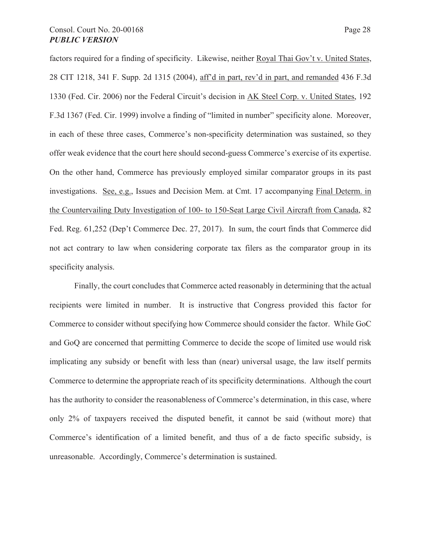factors required for a finding of specificity. Likewise, neither Royal Thai Gov't v. United States, 28 CIT 1218, 341 F. Supp. 2d 1315 (2004), aff'd in part, rev'd in part, and remanded 436 F.3d 1330 (Fed. Cir. 2006) nor the Federal Circuit's decision in AK Steel Corp. v. United States, 192 F.3d 1367 (Fed. Cir. 1999) involve a finding of "limited in number" specificity alone. Moreover, in each of these three cases, Commerce's non-specificity determination was sustained, so they offer weak evidence that the court here should second-guess Commerce's exercise of its expertise. On the other hand, Commerce has previously employed similar comparator groups in its past investigations. See, e.g., Issues and Decision Mem. at Cmt. 17 accompanying Final Determ. in the Countervailing Duty Investigation of 100- to 150-Seat Large Civil Aircraft from Canada, 82 Fed. Reg. 61,252 (Dep't Commerce Dec. 27, 2017). In sum, the court finds that Commerce did not act contrary to law when considering corporate tax filers as the comparator group in its specificity analysis.

Finally, the court concludes that Commerce acted reasonably in determining that the actual recipients were limited in number. It is instructive that Congress provided this factor for Commerce to consider without specifying how Commerce should consider the factor. While GoC and GoQ are concerned that permitting Commerce to decide the scope of limited use would risk implicating any subsidy or benefit with less than (near) universal usage, the law itself permits Commerce to determine the appropriate reach of its specificity determinations. Although the court has the authority to consider the reasonableness of Commerce's determination, in this case, where only 2% of taxpayers received the disputed benefit, it cannot be said (without more) that Commerce's identification of a limited benefit, and thus of a de facto specific subsidy, is unreasonable. Accordingly, Commerce's determination is sustained.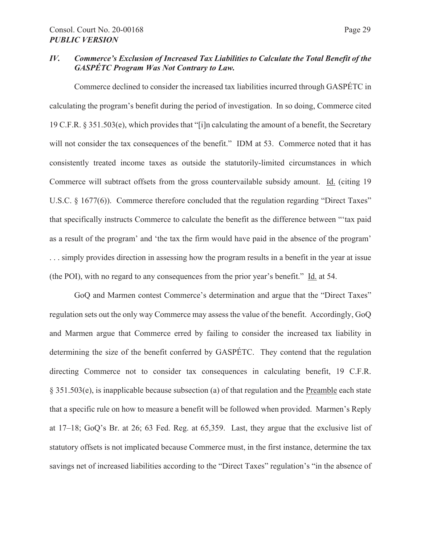## *IV. Commerce's Exclusion of Increased Tax Liabilities to Calculate the Total Benefit of the GASPÉTC Program Was Not Contrary to Law.*

Commerce declined to consider the increased tax liabilities incurred through GASPÉTC in calculating the program's benefit during the period of investigation. In so doing, Commerce cited 19 C.F.R. § 351.503(e), which provides that "[i]n calculating the amount of a benefit, the Secretary will not consider the tax consequences of the benefit." IDM at 53. Commerce noted that it has consistently treated income taxes as outside the statutorily-limited circumstances in which Commerce will subtract offsets from the gross countervailable subsidy amount. Id. (citing 19 U.S.C. § 1677(6)). Commerce therefore concluded that the regulation regarding "Direct Taxes" that specifically instructs Commerce to calculate the benefit as the difference between "'tax paid as a result of the program' and 'the tax the firm would have paid in the absence of the program' . . . simply provides direction in assessing how the program results in a benefit in the year at issue (the POI), with no regard to any consequences from the prior year's benefit." Id. at 54.

GoQ and Marmen contest Commerce's determination and argue that the "Direct Taxes" regulation sets out the only way Commerce may assess the value of the benefit. Accordingly, GoQ and Marmen argue that Commerce erred by failing to consider the increased tax liability in determining the size of the benefit conferred by GASPÉTC. They contend that the regulation directing Commerce not to consider tax consequences in calculating benefit, 19 C.F.R. § 351.503(e), is inapplicable because subsection (a) of that regulation and the Preamble each state that a specific rule on how to measure a benefit will be followed when provided. Marmen's Reply at 17–18; GoQ's Br. at 26; 63 Fed. Reg. at 65,359. Last, they argue that the exclusive list of statutory offsets is not implicated because Commerce must, in the first instance, determine the tax savings net of increased liabilities according to the "Direct Taxes" regulation's "in the absence of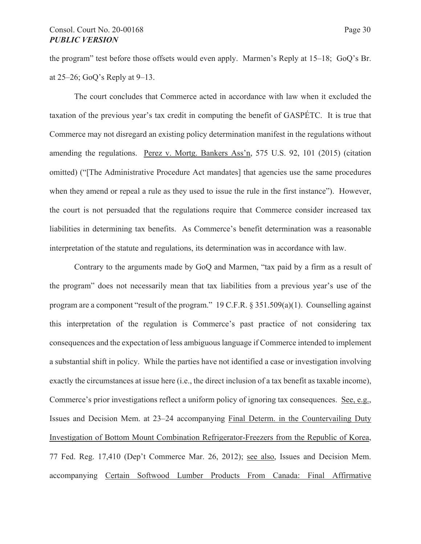the program" test before those offsets would even apply. Marmen's Reply at 15–18; GoQ's Br. at 25–26; GoQ's Reply at 9–13.

The court concludes that Commerce acted in accordance with law when it excluded the taxation of the previous year's tax credit in computing the benefit of GASPÉTC. It is true that Commerce may not disregard an existing policy determination manifest in the regulations without amending the regulations. Perez v. Mortg. Bankers Ass'n, 575 U.S. 92, 101 (2015) (citation omitted) ("[The Administrative Procedure Act mandates] that agencies use the same procedures when they amend or repeal a rule as they used to issue the rule in the first instance"). However, the court is not persuaded that the regulations require that Commerce consider increased tax liabilities in determining tax benefits. As Commerce's benefit determination was a reasonable interpretation of the statute and regulations, its determination was in accordance with law.

Contrary to the arguments made by GoQ and Marmen, "tax paid by a firm as a result of the program" does not necessarily mean that tax liabilities from a previous year's use of the program are a component "result of the program." 19 C.F.R. § 351.509(a)(1). Counselling against this interpretation of the regulation is Commerce's past practice of not considering tax consequences and the expectation of less ambiguous language if Commerce intended to implement a substantial shift in policy. While the parties have not identified a case or investigation involving exactly the circumstances at issue here (i.e., the direct inclusion of a tax benefit as taxable income), Commerce's prior investigations reflect a uniform policy of ignoring tax consequences. See, e.g., Issues and Decision Mem. at 23–24 accompanying Final Determ. in the Countervailing Duty Investigation of Bottom Mount Combination Refrigerator-Freezers from the Republic of Korea, 77 Fed. Reg. 17,410 (Dep't Commerce Mar. 26, 2012); see also, Issues and Decision Mem. accompanying Certain Softwood Lumber Products From Canada: Final Affirmative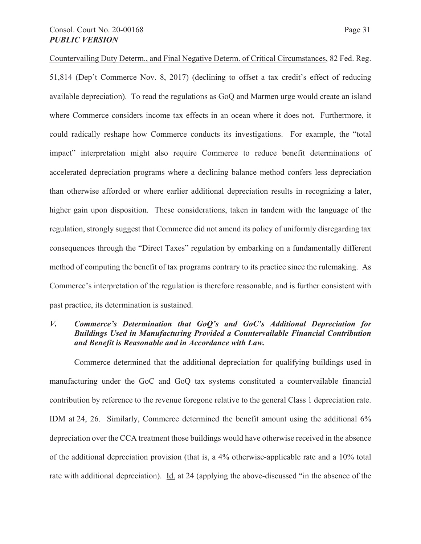Countervailing Duty Determ., and Final Negative Determ. of Critical Circumstances, 82 Fed. Reg. 51,814 (Dep't Commerce Nov. 8, 2017) (declining to offset a tax credit's effect of reducing available depreciation). To read the regulations as GoQ and Marmen urge would create an island where Commerce considers income tax effects in an ocean where it does not. Furthermore, it could radically reshape how Commerce conducts its investigations. For example, the "total impact" interpretation might also require Commerce to reduce benefit determinations of accelerated depreciation programs where a declining balance method confers less depreciation than otherwise afforded or where earlier additional depreciation results in recognizing a later, higher gain upon disposition. These considerations, taken in tandem with the language of the regulation, strongly suggest that Commerce did not amend its policy of uniformly disregarding tax consequences through the "Direct Taxes" regulation by embarking on a fundamentally different method of computing the benefit of tax programs contrary to its practice since the rulemaking. As Commerce's interpretation of the regulation is therefore reasonable, and is further consistent with past practice, its determination is sustained.

# *V. Commerce's Determination that GoQ's and GoC's Additional Depreciation for Buildings Used in Manufacturing Provided a Countervailable Financial Contribution and Benefit is Reasonable and in Accordance with Law.*

Commerce determined that the additional depreciation for qualifying buildings used in manufacturing under the GoC and GoQ tax systems constituted a countervailable financial contribution by reference to the revenue foregone relative to the general Class 1 depreciation rate. IDM at 24, 26. Similarly, Commerce determined the benefit amount using the additional 6% depreciation over the CCA treatment those buildings would have otherwise received in the absence of the additional depreciation provision (that is, a 4% otherwise-applicable rate and a 10% total rate with additional depreciation). Id. at 24 (applying the above-discussed "in the absence of the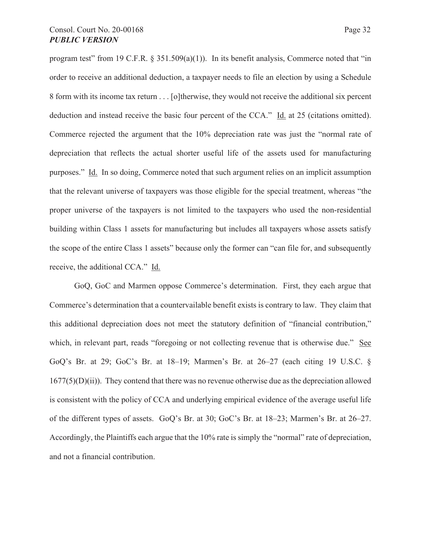program test" from 19 C.F.R.  $\S 351.509(a)(1)$ ). In its benefit analysis, Commerce noted that "in order to receive an additional deduction, a taxpayer needs to file an election by using a Schedule 8 form with its income tax return . . . [o]therwise, they would not receive the additional six percent deduction and instead receive the basic four percent of the CCA." Id. at 25 (citations omitted). Commerce rejected the argument that the 10% depreciation rate was just the "normal rate of depreciation that reflects the actual shorter useful life of the assets used for manufacturing purposes." Id. In so doing, Commerce noted that such argument relies on an implicit assumption that the relevant universe of taxpayers was those eligible for the special treatment, whereas "the proper universe of the taxpayers is not limited to the taxpayers who used the non-residential building within Class 1 assets for manufacturing but includes all taxpayers whose assets satisfy the scope of the entire Class 1 assets" because only the former can "can file for, and subsequently receive, the additional CCA." Id.

GoQ, GoC and Marmen oppose Commerce's determination. First, they each argue that Commerce's determination that a countervailable benefit exists is contrary to law. They claim that this additional depreciation does not meet the statutory definition of "financial contribution," which, in relevant part, reads "foregoing or not collecting revenue that is otherwise due." See GoQ's Br. at 29; GoC's Br. at 18–19; Marmen's Br. at 26–27 (each citing 19 U.S.C. §  $1677(5)(D)(ii)$ ). They contend that there was no revenue otherwise due as the depreciation allowed is consistent with the policy of CCA and underlying empirical evidence of the average useful life of the different types of assets. GoQ's Br. at 30; GoC's Br. at 18–23; Marmen's Br. at 26–27. Accordingly, the Plaintiffs each argue that the 10% rate is simply the "normal" rate of depreciation, and not a financial contribution.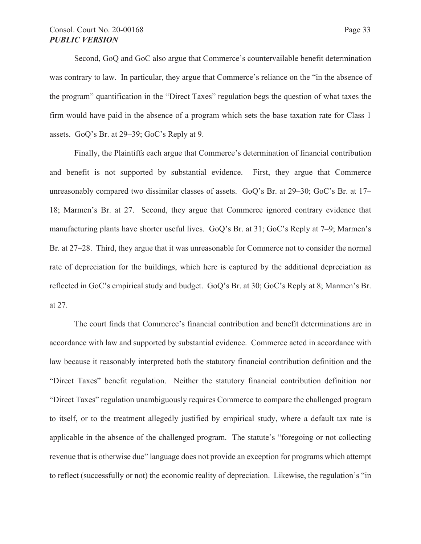# Consol. Court No. 20-00168 Page 33 *PUBLIC VERSION*

Second, GoQ and GoC also argue that Commerce's countervailable benefit determination was contrary to law. In particular, they argue that Commerce's reliance on the "in the absence of the program" quantification in the "Direct Taxes" regulation begs the question of what taxes the firm would have paid in the absence of a program which sets the base taxation rate for Class 1 assets. GoQ's Br. at 29–39; GoC's Reply at 9.

Finally, the Plaintiffs each argue that Commerce's determination of financial contribution and benefit is not supported by substantial evidence. First, they argue that Commerce unreasonably compared two dissimilar classes of assets. GoQ's Br. at 29–30; GoC's Br. at 17– 18; Marmen's Br. at 27. Second, they argue that Commerce ignored contrary evidence that manufacturing plants have shorter useful lives. GoQ's Br. at 31; GoC's Reply at 7–9; Marmen's Br. at 27–28. Third, they argue that it was unreasonable for Commerce not to consider the normal rate of depreciation for the buildings, which here is captured by the additional depreciation as reflected in GoC's empirical study and budget. GoQ's Br. at 30; GoC's Reply at 8; Marmen's Br. at 27.

The court finds that Commerce's financial contribution and benefit determinations are in accordance with law and supported by substantial evidence. Commerce acted in accordance with law because it reasonably interpreted both the statutory financial contribution definition and the "Direct Taxes" benefit regulation. Neither the statutory financial contribution definition nor "Direct Taxes" regulation unambiguously requires Commerce to compare the challenged program to itself, or to the treatment allegedly justified by empirical study, where a default tax rate is applicable in the absence of the challenged program. The statute's "foregoing or not collecting revenue that is otherwise due" language does not provide an exception for programs which attempt to reflect (successfully or not) the economic reality of depreciation. Likewise, the regulation's "in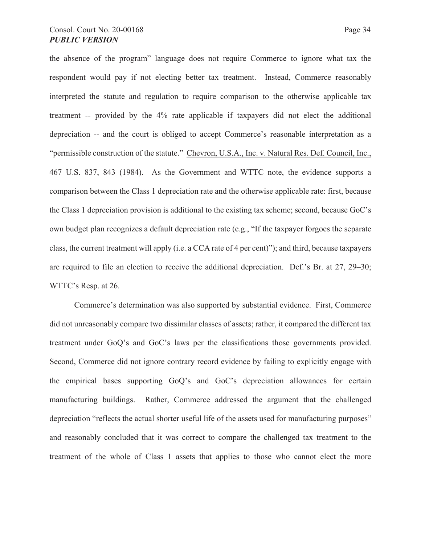the absence of the program" language does not require Commerce to ignore what tax the respondent would pay if not electing better tax treatment. Instead, Commerce reasonably interpreted the statute and regulation to require comparison to the otherwise applicable tax treatment -- provided by the 4% rate applicable if taxpayers did not elect the additional depreciation -- and the court is obliged to accept Commerce's reasonable interpretation as a "permissible construction of the statute." Chevron, U.S.A., Inc. v. Natural Res. Def. Council, Inc., 467 U.S. 837, 843 (1984). As the Government and WTTC note, the evidence supports a comparison between the Class 1 depreciation rate and the otherwise applicable rate: first, because the Class 1 depreciation provision is additional to the existing tax scheme; second, because GoC's own budget plan recognizes a default depreciation rate (e.g., "If the taxpayer forgoes the separate class, the current treatment will apply (i.e. a CCA rate of 4 per cent)"); and third, because taxpayers are required to file an election to receive the additional depreciation. Def.'s Br. at 27, 29–30; WTTC's Resp. at 26.

Commerce's determination was also supported by substantial evidence. First, Commerce did not unreasonably compare two dissimilar classes of assets; rather, it compared the different tax treatment under GoQ's and GoC's laws per the classifications those governments provided. Second, Commerce did not ignore contrary record evidence by failing to explicitly engage with the empirical bases supporting GoQ's and GoC's depreciation allowances for certain manufacturing buildings. Rather, Commerce addressed the argument that the challenged depreciation "reflects the actual shorter useful life of the assets used for manufacturing purposes" and reasonably concluded that it was correct to compare the challenged tax treatment to the treatment of the whole of Class 1 assets that applies to those who cannot elect the more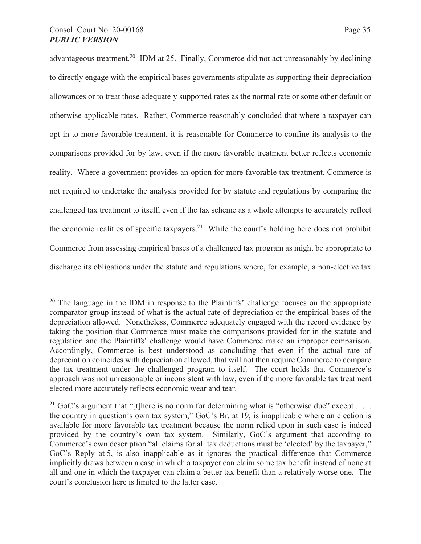# Consol. Court No. 20-00168 Page 35 *PUBLIC VERSION*

advantageous treatment.<sup>20</sup> IDM at 25. Finally, Commerce did not act unreasonably by declining to directly engage with the empirical bases governments stipulate as supporting their depreciation allowances or to treat those adequately supported rates as the normal rate or some other default or otherwise applicable rates. Rather, Commerce reasonably concluded that where a taxpayer can opt-in to more favorable treatment, it is reasonable for Commerce to confine its analysis to the comparisons provided for by law, even if the more favorable treatment better reflects economic reality. Where a government provides an option for more favorable tax treatment, Commerce is not required to undertake the analysis provided for by statute and regulations by comparing the challenged tax treatment to itself, even if the tax scheme as a whole attempts to accurately reflect the economic realities of specific taxpayers.<sup>21</sup> While the court's holding here does not prohibit Commerce from assessing empirical bases of a challenged tax program as might be appropriate to discharge its obligations under the statute and regulations where, for example, a non-elective tax

<sup>&</sup>lt;sup>20</sup> The language in the IDM in response to the Plaintiffs' challenge focuses on the appropriate comparator group instead of what is the actual rate of depreciation or the empirical bases of the depreciation allowed. Nonetheless, Commerce adequately engaged with the record evidence by taking the position that Commerce must make the comparisons provided for in the statute and regulation and the Plaintiffs' challenge would have Commerce make an improper comparison. Accordingly, Commerce is best understood as concluding that even if the actual rate of depreciation coincides with depreciation allowed, that will not then require Commerce to compare the tax treatment under the challenged program to itself. The court holds that Commerce's approach was not unreasonable or inconsistent with law, even if the more favorable tax treatment elected more accurately reflects economic wear and tear.

<sup>&</sup>lt;sup>21</sup> GoC's argument that "[t]here is no norm for determining what is "otherwise due" except . . . the country in question's own tax system," GoC's Br. at 19, is inapplicable where an election is available for more favorable tax treatment because the norm relied upon in such case is indeed provided by the country's own tax system. Similarly, GoC's argument that according to Commerce's own description "all claims for all tax deductions must be 'elected' by the taxpayer," GoC's Reply at 5, is also inapplicable as it ignores the practical difference that Commerce implicitly draws between a case in which a taxpayer can claim some tax benefit instead of none at all and one in which the taxpayer can claim a better tax benefit than a relatively worse one. The court's conclusion here is limited to the latter case.